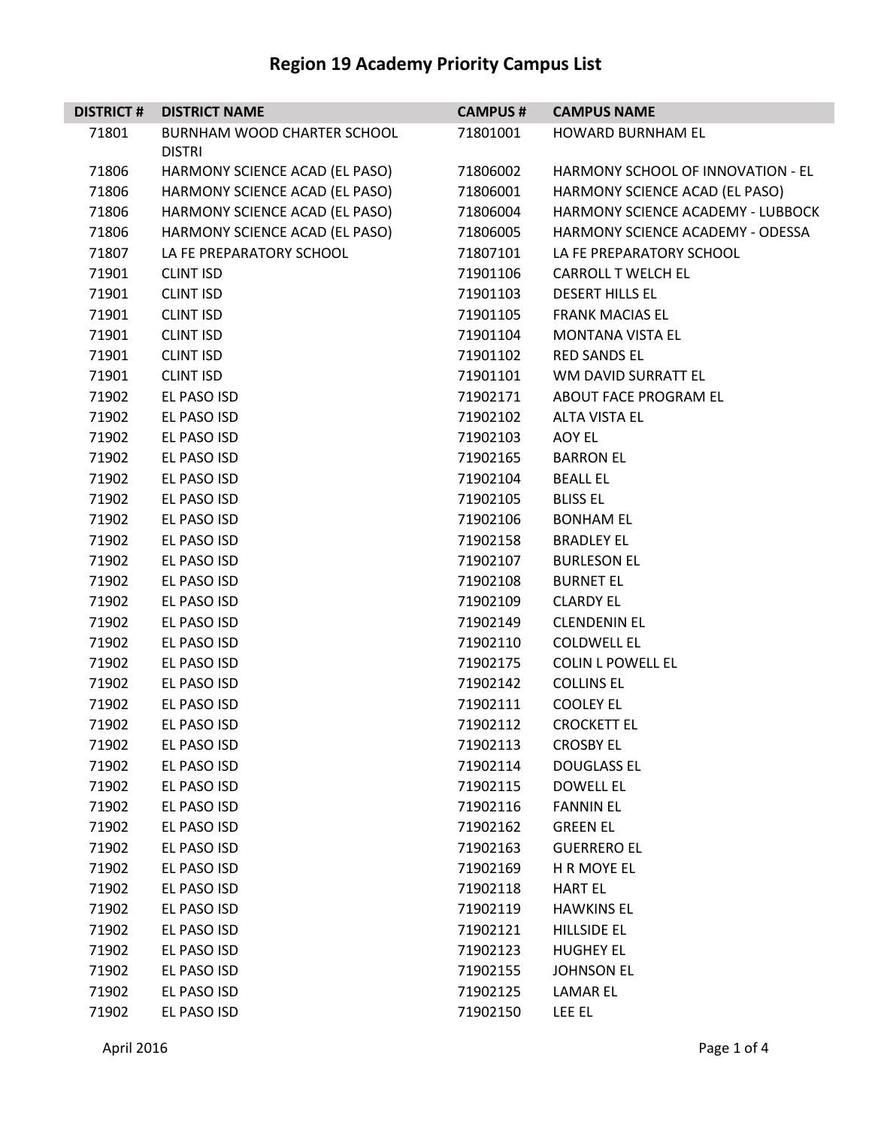| <b>DISTRICT#</b> | <b>DISTRICT NAME</b>           | <b>CAMPUS#</b> | <b>CAMPUS NAME</b>                |
|------------------|--------------------------------|----------------|-----------------------------------|
| 71801            | BURNHAM WOOD CHARTER SCHOOL    | 71801001       | <b>HOWARD BURNHAM EL</b>          |
|                  | <b>DISTRI</b>                  |                |                                   |
| 71806            | HARMONY SCIENCE ACAD (EL PASO) | 71806002       | HARMONY SCHOOL OF INNOVATION - EL |
| 71806            | HARMONY SCIENCE ACAD (EL PASO) | 71806001       | HARMONY SCIENCE ACAD (EL PASO)    |
| 71806            | HARMONY SCIENCE ACAD (EL PASO) | 71806004       | HARMONY SCIENCE ACADEMY - LUBBOCK |
| 71806            | HARMONY SCIENCE ACAD (EL PASO) | 71806005       | HARMONY SCIENCE ACADEMY - ODESSA  |
| 71807            | LA FE PREPARATORY SCHOOL       | 71807101       | LA FE PREPARATORY SCHOOL          |
| 71901            | <b>CLINT ISD</b>               | 71901106       | <b>CARROLL T WELCH EL</b>         |
| 71901            | <b>CLINT ISD</b>               | 71901103       | <b>DESERT HILLS EL</b>            |
| 71901            | <b>CLINT ISD</b>               | 71901105       | <b>FRANK MACIAS EL</b>            |
| 71901            | <b>CLINT ISD</b>               | 71901104       | <b>MONTANA VISTA EL</b>           |
| 71901            | <b>CLINT ISD</b>               | 71901102       | <b>RED SANDS EL</b>               |
| 71901            | <b>CLINT ISD</b>               | 71901101       | WM DAVID SURRATT EL               |
| 71902            | EL PASO ISD                    | 71902171       | ABOUT FACE PROGRAM EL             |
| 71902            | EL PASO ISD                    | 71902102       | <b>ALTA VISTA EL</b>              |
| 71902            | EL PASO ISD                    | 71902103       | AOY EL                            |
| 71902            | EL PASO ISD                    | 71902165       | <b>BARRON EL</b>                  |
| 71902            | EL PASO ISD                    | 71902104       | <b>BEALL EL</b>                   |
| 71902            | EL PASO ISD                    | 71902105       | <b>BLISS EL</b>                   |
| 71902            | EL PASO ISD                    | 71902106       | <b>BONHAM EL</b>                  |
| 71902            | EL PASO ISD                    | 71902158       | <b>BRADLEY EL</b>                 |
| 71902            | EL PASO ISD                    | 71902107       | <b>BURLESON EL</b>                |
| 71902            | EL PASO ISD                    | 71902108       | <b>BURNET EL</b>                  |
| 71902            | EL PASO ISD                    | 71902109       | <b>CLARDY EL</b>                  |
| 71902            | EL PASO ISD                    | 71902149       | <b>CLENDENIN EL</b>               |
| 71902            | EL PASO ISD                    | 71902110       | <b>COLDWELL EL</b>                |
| 71902            | EL PASO ISD                    | 71902175       | <b>COLIN L POWELL EL</b>          |
| 71902            | EL PASO ISD                    | 71902142       | <b>COLLINS EL</b>                 |
| 71902            | EL PASO ISD                    | 71902111       | <b>COOLEY EL</b>                  |
| 71902            | EL PASO ISD                    | 71902112       | <b>CROCKETT EL</b>                |
| 71902            | EL PASO ISD                    | 71902113       | <b>CROSBY EL</b>                  |
| 71902            | EL PASO ISD                    | 71902114       | <b>DOUGLASS EL</b>                |
| 71902            | EL PASO ISD                    | 71902115       | <b>DOWELL EL</b>                  |
| 71902            | EL PASO ISD                    | 71902116       | <b>FANNIN EL</b>                  |
| 71902            | EL PASO ISD                    | 71902162       | <b>GREEN EL</b>                   |
| 71902            | EL PASO ISD                    | 71902163       | <b>GUERRERO EL</b>                |
| 71902            | EL PASO ISD                    | 71902169       | H R MOYE EL                       |
| 71902            | EL PASO ISD                    | 71902118       | <b>HART EL</b>                    |
| 71902            | EL PASO ISD                    | 71902119       | <b>HAWKINS EL</b>                 |
| 71902            | EL PASO ISD                    | 71902121       | <b>HILLSIDE EL</b>                |
| 71902            | EL PASO ISD                    | 71902123       | <b>HUGHEY EL</b>                  |
| 71902            | EL PASO ISD                    | 71902155       | <b>JOHNSON EL</b>                 |
| 71902            | EL PASO ISD                    | 71902125       | LAMAR EL                          |
| 71902            | EL PASO ISD                    | 71902150       | LEE EL                            |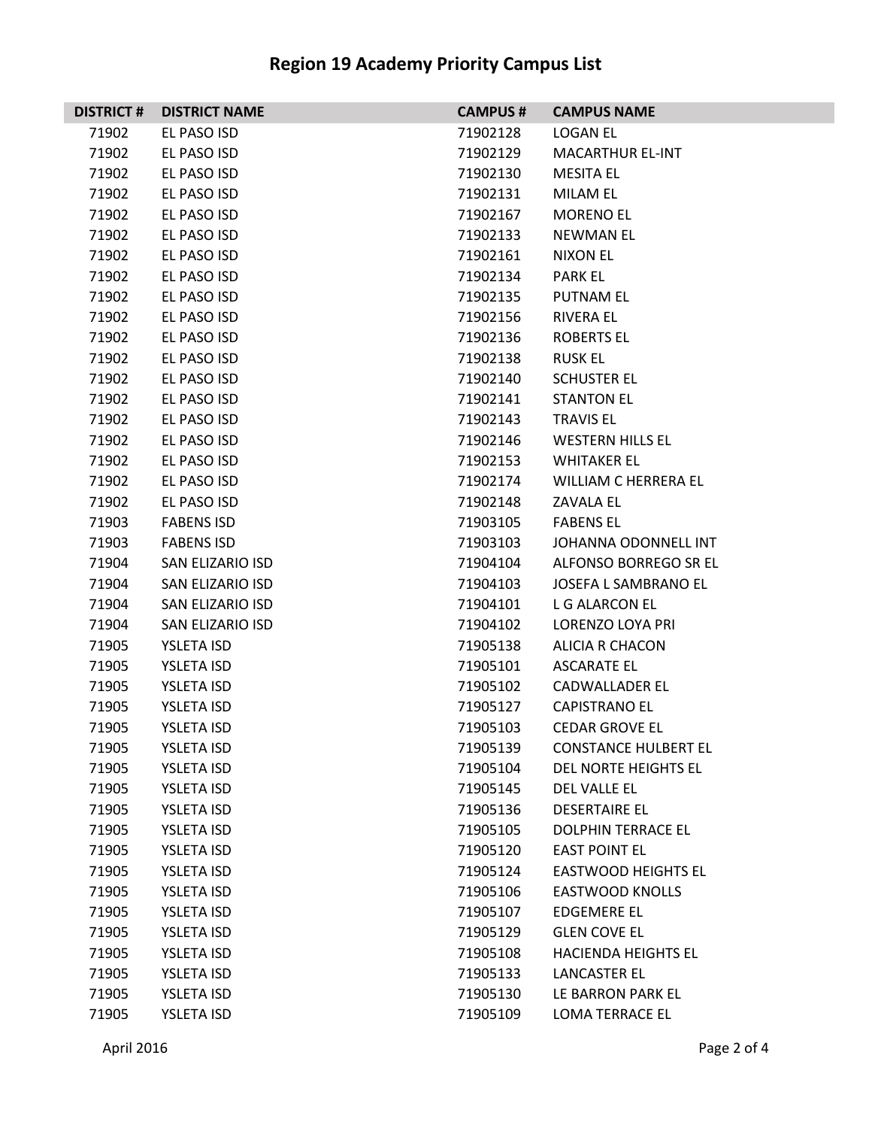| <b>DISTRICT#</b> | <b>DISTRICT NAME</b> | <b>CAMPUS #</b> | <b>CAMPUS NAME</b>          |
|------------------|----------------------|-----------------|-----------------------------|
| 71902            | EL PASO ISD          | 71902128        | LOGAN EL                    |
| 71902            | EL PASO ISD          | 71902129        | <b>MACARTHUR EL-INT</b>     |
| 71902            | EL PASO ISD          | 71902130        | <b>MESITA EL</b>            |
| 71902            | EL PASO ISD          | 71902131        | MILAM EL                    |
| 71902            | EL PASO ISD          | 71902167        | <b>MORENO EL</b>            |
| 71902            | EL PASO ISD          | 71902133        | <b>NEWMAN EL</b>            |
| 71902            | EL PASO ISD          | 71902161        | NIXON EL                    |
| 71902            | EL PASO ISD          | 71902134        | <b>PARK EL</b>              |
| 71902            | EL PASO ISD          | 71902135        | <b>PUTNAM EL</b>            |
| 71902            | EL PASO ISD          | 71902156        | RIVERA EL                   |
| 71902            | EL PASO ISD          | 71902136        | ROBERTS EL                  |
| 71902            | EL PASO ISD          | 71902138        | <b>RUSK EL</b>              |
| 71902            | EL PASO ISD          | 71902140        | <b>SCHUSTER EL</b>          |
| 71902            | EL PASO ISD          | 71902141        | <b>STANTON EL</b>           |
| 71902            | EL PASO ISD          | 71902143        | <b>TRAVIS EL</b>            |
| 71902            | EL PASO ISD          | 71902146        | <b>WESTERN HILLS EL</b>     |
| 71902            | EL PASO ISD          | 71902153        | <b>WHITAKER EL</b>          |
| 71902            | EL PASO ISD          | 71902174        | <b>WILLIAM C HERRERA EL</b> |
| 71902            | EL PASO ISD          | 71902148        | <b>ZAVALA EL</b>            |
| 71903            | <b>FABENS ISD</b>    | 71903105        | <b>FABENS EL</b>            |
| 71903            | <b>FABENS ISD</b>    | 71903103        | JOHANNA ODONNELL INT        |
| 71904            | SAN ELIZARIO ISD     | 71904104        | ALFONSO BORREGO SR EL       |
| 71904            | SAN ELIZARIO ISD     | 71904103        | JOSEFA L SAMBRANO EL        |
| 71904            | SAN ELIZARIO ISD     | 71904101        | L G ALARCON EL              |
| 71904            | SAN ELIZARIO ISD     | 71904102        | LORENZO LOYA PRI            |
| 71905            | YSLETA ISD           | 71905138        | ALICIA R CHACON             |
| 71905            | YSLETA ISD           | 71905101        | ASCARATE EL                 |
| 71905            | YSLETA ISD           | 71905102        | <b>CADWALLADER EL</b>       |
| 71905            | YSLETA ISD           | 71905127        | <b>CAPISTRANO EL</b>        |
| 71905            | <b>YSLETA ISD</b>    | 71905103        | <b>CEDAR GROVE EL</b>       |
| 71905            | <b>YSLETA ISD</b>    | 71905139        | <b>CONSTANCE HULBERT EL</b> |
| 71905            | <b>YSLETA ISD</b>    | 71905104        | DEL NORTE HEIGHTS EL        |
| 71905            | <b>YSLETA ISD</b>    | 71905145        | DEL VALLE EL                |
| 71905            | <b>YSLETA ISD</b>    | 71905136        | <b>DESERTAIRE EL</b>        |
| 71905            | <b>YSLETA ISD</b>    | 71905105        | <b>DOLPHIN TERRACE EL</b>   |
| 71905            | <b>YSLETA ISD</b>    | 71905120        | <b>EAST POINT EL</b>        |
| 71905            | <b>YSLETA ISD</b>    | 71905124        | <b>EASTWOOD HEIGHTS EL</b>  |
| 71905            | <b>YSLETA ISD</b>    | 71905106        | <b>EASTWOOD KNOLLS</b>      |
| 71905            | <b>YSLETA ISD</b>    | 71905107        | <b>EDGEMERE EL</b>          |
| 71905            | <b>YSLETA ISD</b>    | 71905129        | <b>GLEN COVE EL</b>         |
| 71905            | <b>YSLETA ISD</b>    | 71905108        | <b>HACIENDA HEIGHTS EL</b>  |
| 71905            | <b>YSLETA ISD</b>    | 71905133        | LANCASTER EL                |
| 71905            | <b>YSLETA ISD</b>    | 71905130        | LE BARRON PARK EL           |
| 71905            | <b>YSLETA ISD</b>    | 71905109        | LOMA TERRACE EL             |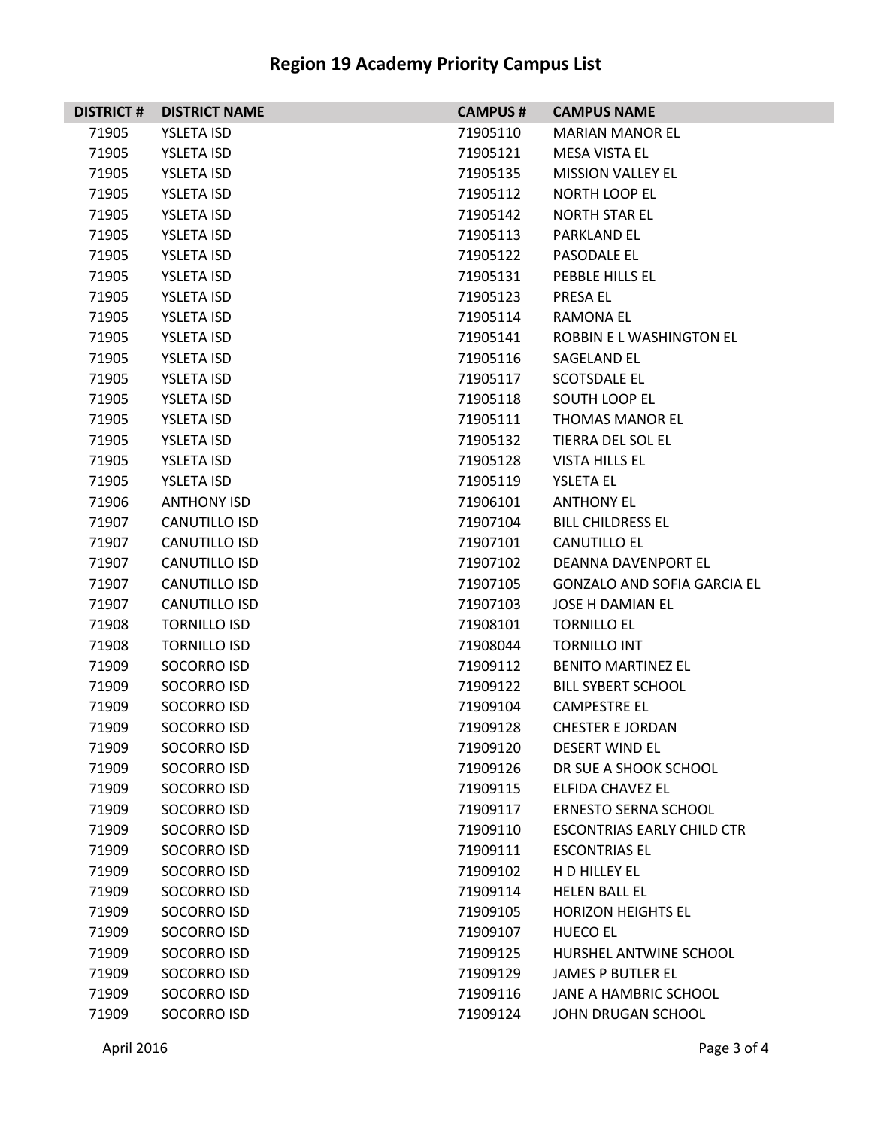| <b>DISTRICT#</b> | <b>DISTRICT NAME</b> | <b>CAMPUS#</b> | <b>CAMPUS NAME</b>                 |
|------------------|----------------------|----------------|------------------------------------|
| 71905            | <b>YSLETA ISD</b>    | 71905110       | <b>MARIAN MANOR EL</b>             |
| 71905            | <b>YSLETA ISD</b>    | 71905121       | MESA VISTA EL                      |
| 71905            | YSLETA ISD           | 71905135       | <b>MISSION VALLEY EL</b>           |
| 71905            | <b>YSLETA ISD</b>    | 71905112       | <b>NORTH LOOP EL</b>               |
| 71905            | <b>YSLETA ISD</b>    | 71905142       | <b>NORTH STAR EL</b>               |
| 71905            | <b>YSLETA ISD</b>    | 71905113       | <b>PARKLAND EL</b>                 |
| 71905            | <b>YSLETA ISD</b>    | 71905122       | PASODALE EL                        |
| 71905            | YSLETA ISD           | 71905131       | PEBBLE HILLS EL                    |
| 71905            | <b>YSLETA ISD</b>    | 71905123       | <b>PRESA EL</b>                    |
| 71905            | <b>YSLETA ISD</b>    | 71905114       | <b>RAMONA EL</b>                   |
| 71905            | <b>YSLETA ISD</b>    | 71905141       | ROBBIN E L WASHINGTON EL           |
| 71905            | <b>YSLETA ISD</b>    | 71905116       | SAGELAND EL                        |
| 71905            | YSLETA ISD           | 71905117       | <b>SCOTSDALE EL</b>                |
| 71905            | <b>YSLETA ISD</b>    | 71905118       | <b>SOUTH LOOP EL</b>               |
| 71905            | <b>YSLETA ISD</b>    | 71905111       | <b>THOMAS MANOR EL</b>             |
| 71905            | <b>YSLETA ISD</b>    | 71905132       | TIERRA DEL SOL EL                  |
| 71905            | <b>YSLETA ISD</b>    | 71905128       | <b>VISTA HILLS EL</b>              |
| 71905            | YSLETA ISD           | 71905119       | <b>YSLETA EL</b>                   |
| 71906            | <b>ANTHONY ISD</b>   | 71906101       | <b>ANTHONY EL</b>                  |
| 71907            | <b>CANUTILLO ISD</b> | 71907104       | <b>BILL CHILDRESS EL</b>           |
| 71907            | CANUTILLO ISD        | 71907101       | CANUTILLO EL                       |
| 71907            | CANUTILLO ISD        | 71907102       | DEANNA DAVENPORT EL                |
| 71907            | <b>CANUTILLO ISD</b> | 71907105       | <b>GONZALO AND SOFIA GARCIA EL</b> |
| 71907            | <b>CANUTILLO ISD</b> | 71907103       | <b>JOSE H DAMIAN EL</b>            |
| 71908            | <b>TORNILLO ISD</b>  | 71908101       | <b>TORNILLO EL</b>                 |
| 71908            | <b>TORNILLO ISD</b>  | 71908044       | <b>TORNILLO INT</b>                |
| 71909            | <b>SOCORRO ISD</b>   | 71909112       | <b>BENITO MARTINEZ EL</b>          |
| 71909            | SOCORRO ISD          | 71909122       | <b>BILL SYBERT SCHOOL</b>          |
| 71909            | <b>SOCORRO ISD</b>   | 71909104       | <b>CAMPESTRE EL</b>                |
| 71909            | <b>SOCORRO ISD</b>   | 71909128       | <b>CHESTER E JORDAN</b>            |
| 71909            | SOCORRO ISD          | 71909120       | <b>DESERT WIND EL</b>              |
| 71909            | <b>SOCORRO ISD</b>   | 71909126       | DR SUE A SHOOK SCHOOL              |
| 71909            | <b>SOCORRO ISD</b>   | 71909115       | ELFIDA CHAVEZ EL                   |
| 71909            | <b>SOCORRO ISD</b>   | 71909117       | <b>ERNESTO SERNA SCHOOL</b>        |
| 71909            | <b>SOCORRO ISD</b>   | 71909110       | <b>ESCONTRIAS EARLY CHILD CTR</b>  |
| 71909            | <b>SOCORRO ISD</b>   | 71909111       | <b>ESCONTRIAS EL</b>               |
| 71909            | <b>SOCORRO ISD</b>   | 71909102       | H D HILLEY EL                      |
| 71909            | <b>SOCORRO ISD</b>   | 71909114       | <b>HELEN BALL EL</b>               |
| 71909            | <b>SOCORRO ISD</b>   | 71909105       | <b>HORIZON HEIGHTS EL</b>          |
| 71909            | <b>SOCORRO ISD</b>   | 71909107       | <b>HUECO EL</b>                    |
| 71909            | SOCORRO ISD          | 71909125       | HURSHEL ANTWINE SCHOOL             |
| 71909            | <b>SOCORRO ISD</b>   | 71909129       | <b>JAMES P BUTLER EL</b>           |
| 71909            | <b>SOCORRO ISD</b>   | 71909116       | JANE A HAMBRIC SCHOOL              |
| 71909            | <b>SOCORRO ISD</b>   | 71909124       | JOHN DRUGAN SCHOOL                 |